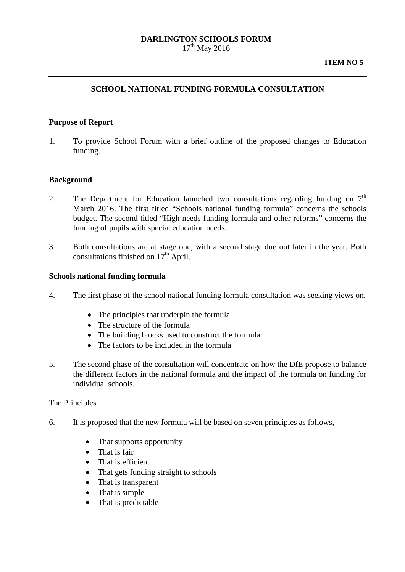#### **DARLINGTON SCHOOLS FORUM**  $17^{th}$  May 2016

**ITEM NO 5**

#### **SCHOOL NATIONAL FUNDING FORMULA CONSULTATION**

#### **Purpose of Report**

1. To provide School Forum with a brief outline of the proposed changes to Education funding.

#### **Background**

- 2. The Department for Education launched two consultations regarding funding on  $7<sup>th</sup>$ March 2016. The first titled "Schools national funding formula" concerns the schools budget. The second titled "High needs funding formula and other reforms" concerns the funding of pupils with special education needs.
- 3. Both consultations are at stage one, with a second stage due out later in the year. Both consultations finished on  $17<sup>th</sup>$  April.

#### **Schools national funding formula**

- 4. The first phase of the school national funding formula consultation was seeking views on,
	- The principles that underpin the formula
	- The structure of the formula
	- The building blocks used to construct the formula
	- The factors to be included in the formula
- 5. The second phase of the consultation will concentrate on how the DfE propose to balance the different factors in the national formula and the impact of the formula on funding for individual schools.

#### The Principles

- 6. It is proposed that the new formula will be based on seven principles as follows,
	- That supports opportunity
	- That is fair
	- That is efficient
	- That gets funding straight to schools
	- That is transparent
	- That is simple
	- That is predictable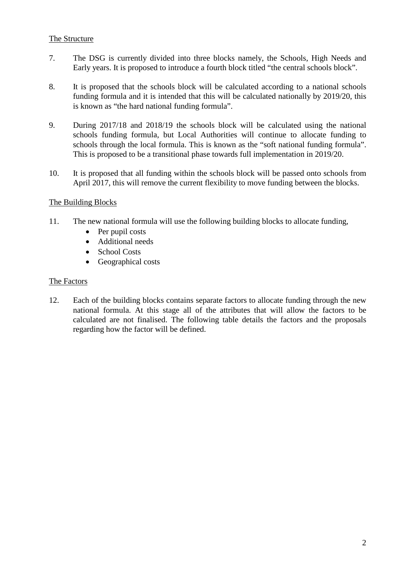## The Structure

- 7. The DSG is currently divided into three blocks namely, the Schools, High Needs and Early years. It is proposed to introduce a fourth block titled "the central schools block".
- 8. It is proposed that the schools block will be calculated according to a national schools funding formula and it is intended that this will be calculated nationally by 2019/20, this is known as "the hard national funding formula".
- 9. During 2017/18 and 2018/19 the schools block will be calculated using the national schools funding formula, but Local Authorities will continue to allocate funding to schools through the local formula. This is known as the "soft national funding formula". This is proposed to be a transitional phase towards full implementation in 2019/20.
- 10. It is proposed that all funding within the schools block will be passed onto schools from April 2017, this will remove the current flexibility to move funding between the blocks.

# The Building Blocks

- 11. The new national formula will use the following building blocks to allocate funding,
	- Per pupil costs
	- Additional needs
	- School Costs
	- Geographical costs

## The Factors

12. Each of the building blocks contains separate factors to allocate funding through the new national formula. At this stage all of the attributes that will allow the factors to be calculated are not finalised. The following table details the factors and the proposals regarding how the factor will be defined.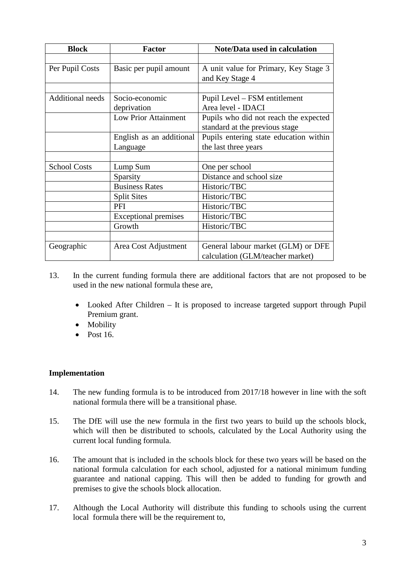| <b>Block</b>            | <b>Factor</b>               | <b>Note/Data used in calculation</b>   |
|-------------------------|-----------------------------|----------------------------------------|
|                         |                             |                                        |
| Per Pupil Costs         | Basic per pupil amount      | A unit value for Primary, Key Stage 3  |
|                         |                             | and Key Stage 4                        |
|                         |                             |                                        |
| <b>Additional needs</b> | Socio-economic              | Pupil Level – FSM entitlement          |
|                         | deprivation                 | Area level - IDACI                     |
|                         | <b>Low Prior Attainment</b> | Pupils who did not reach the expected  |
|                         |                             | standard at the previous stage         |
|                         | English as an additional    | Pupils entering state education within |
|                         | Language                    | the last three years                   |
|                         |                             |                                        |
| <b>School Costs</b>     | Lump Sum                    | One per school                         |
|                         | Sparsity                    | Distance and school size               |
|                         | <b>Business Rates</b>       | Historic/TBC                           |
|                         | <b>Split Sites</b>          | Historic/TBC                           |
|                         | PFI                         | Historic/TBC                           |
|                         | <b>Exceptional premises</b> | Historic/TBC                           |
|                         | Growth                      | Historic/TBC                           |
|                         |                             |                                        |
| Geographic              | Area Cost Adjustment        | General labour market (GLM) or DFE     |
|                         |                             | calculation (GLM/teacher market)       |

- 13. In the current funding formula there are additional factors that are not proposed to be used in the new national formula these are,
	- Looked After Children It is proposed to increase targeted support through Pupil Premium grant.
	- Mobility
	- $\bullet$  Post 16.

## **Implementation**

- 14. The new funding formula is to be introduced from 2017/18 however in line with the soft national formula there will be a transitional phase.
- 15. The DfE will use the new formula in the first two years to build up the schools block, which will then be distributed to schools, calculated by the Local Authority using the current local funding formula.
- 16. The amount that is included in the schools block for these two years will be based on the national formula calculation for each school, adjusted for a national minimum funding guarantee and national capping. This will then be added to funding for growth and premises to give the schools block allocation.
- 17. Although the Local Authority will distribute this funding to schools using the current local formula there will be the requirement to,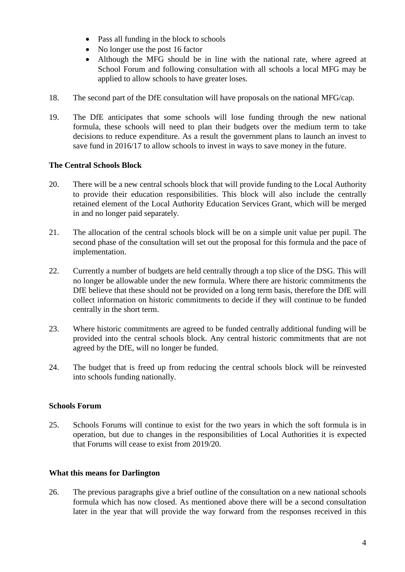- Pass all funding in the block to schools
- No longer use the post 16 factor
- Although the MFG should be in line with the national rate, where agreed at School Forum and following consultation with all schools a local MFG may be applied to allow schools to have greater loses.
- 18. The second part of the DfE consultation will have proposals on the national MFG/cap.
- 19. The DfE anticipates that some schools will lose funding through the new national formula, these schools will need to plan their budgets over the medium term to take decisions to reduce expenditure. As a result the government plans to launch an invest to save fund in 2016/17 to allow schools to invest in ways to save money in the future.

# **The Central Schools Block**

- 20. There will be a new central schools block that will provide funding to the Local Authority to provide their education responsibilities. This block will also include the centrally retained element of the Local Authority Education Services Grant, which will be merged in and no longer paid separately.
- 21. The allocation of the central schools block will be on a simple unit value per pupil. The second phase of the consultation will set out the proposal for this formula and the pace of implementation.
- 22. Currently a number of budgets are held centrally through a top slice of the DSG. This will no longer be allowable under the new formula. Where there are historic commitments the DfE believe that these should not be provided on a long term basis, therefore the DfE will collect information on historic commitments to decide if they will continue to be funded centrally in the short term.
- 23. Where historic commitments are agreed to be funded centrally additional funding will be provided into the central schools block. Any central historic commitments that are not agreed by the DfE, will no longer be funded.
- 24. The budget that is freed up from reducing the central schools block will be reinvested into schools funding nationally.

## **Schools Forum**

25. Schools Forums will continue to exist for the two years in which the soft formula is in operation, but due to changes in the responsibilities of Local Authorities it is expected that Forums will cease to exist from 2019/20.

## **What this means for Darlington**

26. The previous paragraphs give a brief outline of the consultation on a new national schools formula which has now closed. As mentioned above there will be a second consultation later in the year that will provide the way forward from the responses received in this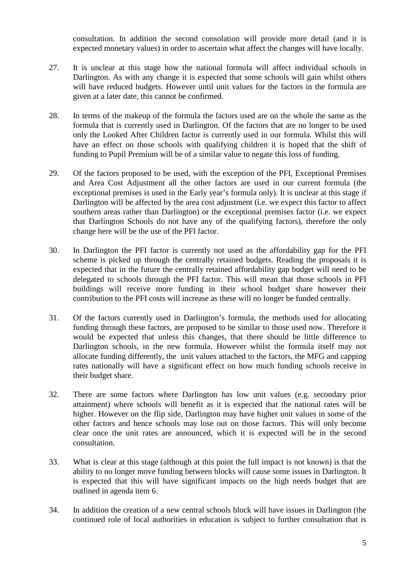consultation. In addition the second consolation will provide more detail (and it is expected monetary values) in order to ascertain what affect the changes will have locally.

- 27. It is unclear at this stage how the national formula will affect individual schools in Darlington. As with any change it is expected that some schools will gain whilst others will have reduced budgets. However until unit values for the factors in the formula are given at a later date, this cannot be confirmed.
- 28. In terms of the makeup of the formula the factors used are on the whole the same as the formula that is currently used in Darlington. Of the factors that are no longer to be used only the Looked After Children factor is currently used in our formula. Whilst this will have an effect on those schools with qualifying children it is hoped that the shift of funding to Pupil Premium will be of a similar value to negate this loss of funding.
- 29. Of the factors proposed to be used, with the exception of the PFI, Exceptional Premises and Area Cost Adjustment all the other factors are used in our current formula (the exceptional premises is used in the Early year's formula only). It is unclear at this stage if Darlington will be affected by the area cost adjustment (i.e. we expect this factor to affect southern areas rather than Darlington) or the exceptional premises factor (i.e. we expect that Darlington Schools do not have any of the qualifying factors), therefore the only change here will be the use of the PFI factor.
- 30. In Darlington the PFI factor is currently not used as the affordability gap for the PFI scheme is picked up through the centrally retained budgets. Reading the proposals it is expected that in the future the centrally retained affordability gap budget will need to be delegated to schools through the PFI factor. This will mean that those schools in PFI buildings will receive more funding in their school budget share however their contribution to the PFI costs will increase as these will no longer be funded centrally.
- 31. Of the factors currently used in Darlington's formula, the methods used for allocating funding through these factors, are proposed to be similar to those used now. Therefore it would be expected that unless this changes, that there should be little difference to Darlington schools, in the new formula. However whilst the formula itself may not allocate funding differently, the unit values attached to the factors, the MFG and capping rates nationally will have a significant effect on how much funding schools receive in their budget share.
- 32. There are some factors where Darlington has low unit values (e.g. secondary prior attainment) where schools will benefit as it is expected that the national rates will be higher. However on the flip side, Darlington may have higher unit values in some of the other factors and hence schools may lose out on those factors. This will only become clear once the unit rates are announced, which it is expected will be in the second consultation.
- 33. What is clear at this stage (although at this point the full impact is not known) is that the ability to no longer move funding between blocks will cause some issues in Darlington. It is expected that this will have significant impacts on the high needs budget that are outlined in agenda item 6.
- 34. In addition the creation of a new central schools block will have issues in Darlington (the continued role of local authorities in education is subject to further consultation that is